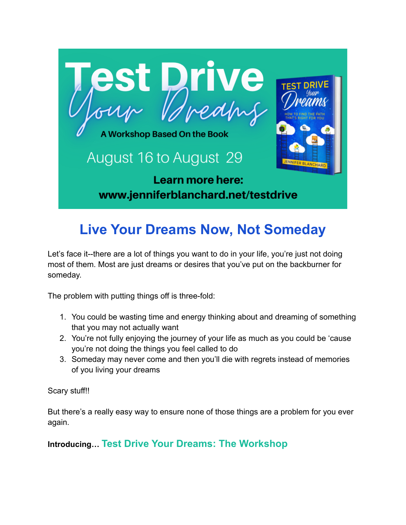

# **Live Your Dreams Now, Not Someday**

Let's face it--there are a lot of things you want to do in your life, you're just not doing most of them. Most are just dreams or desires that you've put on the backburner for someday.

The problem with putting things off is three-fold:

- 1. You could be wasting time and energy thinking about and dreaming of something that you may not actually want
- 2. You're not fully enjoying the journey of your life as much as you could be 'cause you're not doing the things you feel called to do
- 3. Someday may never come and then you'll die with regrets instead of memories of you living your dreams

Scary stuff!!

But there's a really easy way to ensure none of those things are a problem for you ever again.

**Introducing… Test Drive Your Dreams: The Workshop**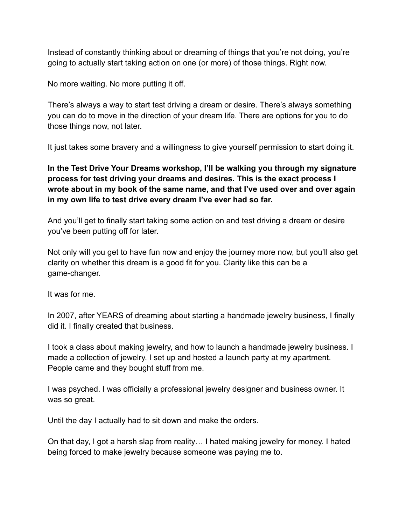Instead of constantly thinking about or dreaming of things that you're not doing, you're going to actually start taking action on one (or more) of those things. Right now.

No more waiting. No more putting it off.

There's always a way to start test driving a dream or desire. There's always something you can do to move in the direction of your dream life. There are options for you to do those things now, not later.

It just takes some bravery and a willingness to give yourself permission to start doing it.

**In the Test Drive Your Dreams workshop, I'll be walking you through my signature process for test driving your dreams and desires. This is the exact process I wrote about in my book of the same name, and that I've used over and over again in my own life to test drive every dream I've ever had so far.**

And you'll get to finally start taking some action on and test driving a dream or desire you've been putting off for later.

Not only will you get to have fun now and enjoy the journey more now, but you'll also get clarity on whether this dream is a good fit for you. Clarity like this can be a game-changer.

It was for me.

In 2007, after YEARS of dreaming about starting a handmade jewelry business, I finally did it. I finally created that business.

I took a class about making jewelry, and how to launch a handmade jewelry business. I made a collection of jewelry. I set up and hosted a launch party at my apartment. People came and they bought stuff from me.

I was psyched. I was officially a professional jewelry designer and business owner. It was so great.

Until the day I actually had to sit down and make the orders.

On that day, I got a harsh slap from reality… I hated making jewelry for money. I hated being forced to make jewelry because someone was paying me to.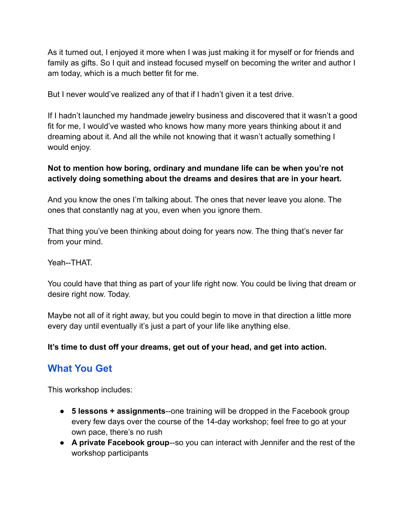As it turned out, I enjoyed it more when I was just making it for myself or for friends and family as gifts. So I quit and instead focused myself on becoming the writer and author I am today, which is a much better fit for me.

But I never would've realized any of that if I hadn't given it a test drive.

If I hadn't launched my handmade jewelry business and discovered that it wasn't a good fit for me, I would've wasted who knows how many more years thinking about it and dreaming about it. And all the while not knowing that it wasn't actually something I would enjoy.

#### **Not to mention how boring, ordinary and mundane life can be when you're not actively doing something about the dreams and desires that are in your heart.**

And you know the ones I'm talking about. The ones that never leave you alone. The ones that constantly nag at you, even when you ignore them.

That thing you've been thinking about doing for years now. The thing that's never far from your mind.

Yeah--THAT.

You could have that thing as part of your life right now. You could be living that dream or desire right now. Today.

Maybe not all of it right away, but you could begin to move in that direction a little more every day until eventually it's just a part of your life like anything else.

#### **It's time to dust off your dreams, get out of your head, and get into action.**

## **What You Get**

This workshop includes:

- **5 lessons + assignments**--one training will be dropped in the Facebook group every few days over the course of the 14-day workshop; feel free to go at your own pace, there's no rush
- **A private Facebook group**--so you can interact with Jennifer and the rest of the workshop participants